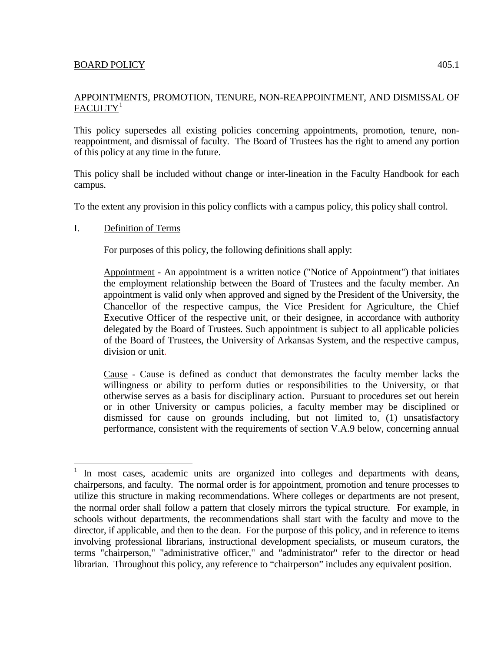# APPOINTMENTS, PROMOTION, TENURE, NON-REAPPOINTMENT, AND DISMISSAL OF  $FACULTY^{\perp}$

This policy supersedes all existing policies concerning appointments, promotion, tenure, nonreappointment, and dismissal of faculty. The Board of Trustees has the right to amend any portion of this policy at any time in the future.

This policy shall be included without change or inter-lineation in the Faculty Handbook for each campus.

To the extent any provision in this policy conflicts with a campus policy, this policy shall control.

# I. Definition of Terms

For purposes of this policy, the following definitions shall apply:

Appointment - An appointment is a written notice ("Notice of Appointment") that initiates the employment relationship between the Board of Trustees and the faculty member. An appointment is valid only when approved and signed by the President of the University, the Chancellor of the respective campus, the Vice President for Agriculture, the Chief Executive Officer of the respective unit, or their designee, in accordance with authority delegated by the Board of Trustees. Such appointment is subject to all applicable policies of the Board of Trustees, the University of Arkansas System, and the respective campus, division or unit.

Cause - Cause is defined as conduct that demonstrates the faculty member lacks the willingness or ability to perform duties or responsibilities to the University, or that otherwise serves as a basis for disciplinary action. Pursuant to procedures set out herein or in other University or campus policies, a faculty member may be disciplined or dismissed for cause on grounds including, but not limited to, (1) unsatisfactory performance, consistent with the requirements of section V.A.9 below, concerning annual

<span id="page-0-0"></span>In most cases, academic units are organized into colleges and departments with deans, chairpersons, and faculty. The normal order is for appointment, promotion and tenure processes to utilize this structure in making recommendations. Where colleges or departments are not present, the normal order shall follow a pattern that closely mirrors the typical structure. For example, in schools without departments, the recommendations shall start with the faculty and move to the director, if applicable, and then to the dean. For the purpose of this policy, and in reference to items involving professional librarians, instructional development specialists, or museum curators, the terms "chairperson," "administrative officer," and "administrator" refer to the director or head librarian. Throughout this policy, any reference to "chairperson" includes any equivalent position.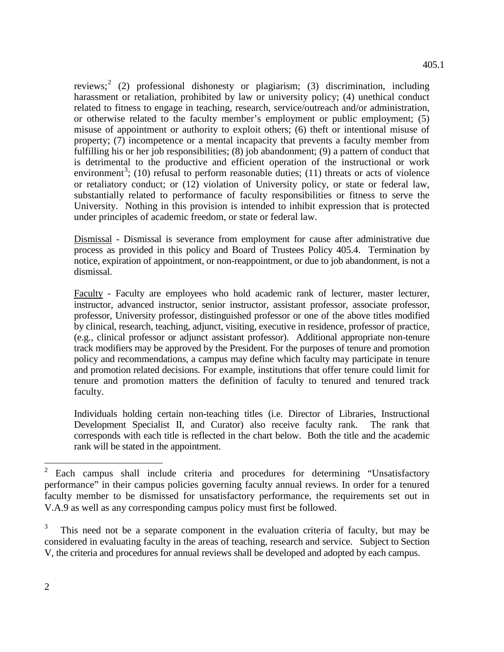reviews;<sup>[2](#page-1-0)</sup> (2) professional dishonesty or plagiarism; (3) discrimination, including harassment or retaliation, prohibited by law or university policy; (4) unethical conduct related to fitness to engage in teaching, research, service/outreach and/or administration, or otherwise related to the faculty member's employment or public employment; (5) misuse of appointment or authority to exploit others; (6) theft or intentional misuse of property; (7) incompetence or a mental incapacity that prevents a faculty member from fulfilling his or her job responsibilities; (8) job abandonment; (9) a pattern of conduct that is detrimental to the productive and efficient operation of the instructional or work environment<sup>[3](#page-1-1)</sup>; (10) refusal to perform reasonable duties; (11) threats or acts of violence or retaliatory conduct; or (12) violation of University policy, or state or federal law, substantially related to performance of faculty responsibilities or fitness to serve the University. Nothing in this provision is intended to inhibit expression that is protected under principles of academic freedom, or state or federal law.

Dismissal - Dismissal is severance from employment for cause after administrative due process as provided in this policy and Board of Trustees Policy 405.4. Termination by notice, expiration of appointment, or non-reappointment, or due to job abandonment, is not a dismissal.

Faculty - Faculty are employees who hold academic rank of lecturer, master lecturer, instructor, advanced instructor, senior instructor, assistant professor, associate professor, professor, University professor, distinguished professor or one of the above titles modified by clinical, research, teaching, adjunct, visiting, executive in residence, professor of practice, (e.g., clinical professor or adjunct assistant professor). Additional appropriate non-tenure track modifiers may be approved by the President. For the purposes of tenure and promotion policy and recommendations, a campus may define which faculty may participate in tenure and promotion related decisions. For example, institutions that offer tenure could limit for tenure and promotion matters the definition of faculty to tenured and tenured track faculty.

Individuals holding certain non-teaching titles (i.e. Director of Libraries, Instructional Development Specialist II, and Curator) also receive faculty rank. The rank that corresponds with each title is reflected in the chart below. Both the title and the academic rank will be stated in the appointment.

<span id="page-1-0"></span> $2$  Each campus shall include criteria and procedures for determining "Unsatisfactory" performance" in their campus policies governing faculty annual reviews. In order for a tenured faculty member to be dismissed for unsatisfactory performance, the requirements set out in V.A.9 as well as any corresponding campus policy must first be followed.

<span id="page-1-1"></span><sup>3</sup> This need not be a separate component in the evaluation criteria of faculty, but may be considered in evaluating faculty in the areas of teaching, research and service. Subject to Section V, the criteria and procedures for annual reviews shall be developed and adopted by each campus.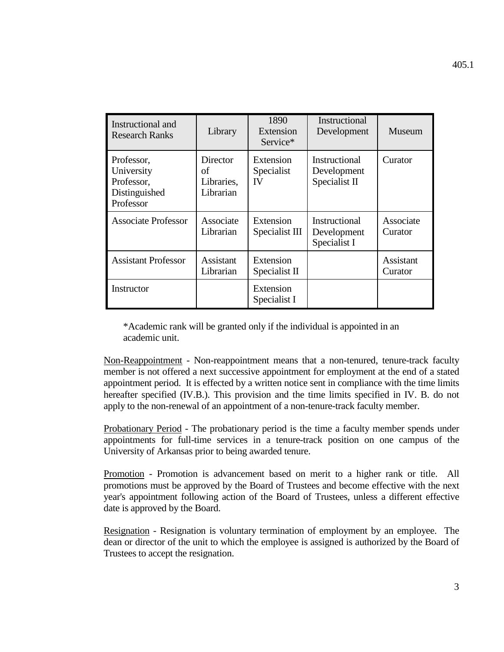| Instructional and<br><b>Research Ranks</b>                           | Library                                   | 1890<br>Extension<br>Service* | Instructional<br>Development                  | Museum                      |
|----------------------------------------------------------------------|-------------------------------------------|-------------------------------|-----------------------------------------------|-----------------------------|
| Professor,<br>University<br>Professor,<br>Distinguished<br>Professor | Director<br>оf<br>Libraries,<br>Librarian | Extension<br>Specialist<br>IV | Instructional<br>Development<br>Specialist II | Curator                     |
| <b>Associate Professor</b>                                           | Associate<br>Librarian                    | Extension<br>Specialist III   | Instructional<br>Development<br>Specialist I  | Associate<br>Curator        |
| <b>Assistant Professor</b>                                           | Assistant<br>Librarian                    | Extension<br>Specialist II    |                                               | <b>Assistant</b><br>Curator |
| Instructor                                                           |                                           | Extension<br>Specialist I     |                                               |                             |

\*Academic rank will be granted only if the individual is appointed in an academic unit.

Non-Reappointment - Non-reappointment means that a non-tenured, tenure-track faculty member is not offered a next successive appointment for employment at the end of a stated appointment period. It is effected by a written notice sent in compliance with the time limits hereafter specified (IV.B.). This provision and the time limits specified in IV. B. do not apply to the non-renewal of an appointment of a non-tenure-track faculty member.

Probationary Period - The probationary period is the time a faculty member spends under appointments for full-time services in a tenure-track position on one campus of the University of Arkansas prior to being awarded tenure.

Promotion - Promotion is advancement based on merit to a higher rank or title. All promotions must be approved by the Board of Trustees and become effective with the next year's appointment following action of the Board of Trustees, unless a different effective date is approved by the Board.

Resignation - Resignation is voluntary termination of employment by an employee. The dean or director of the unit to which the employee is assigned is authorized by the Board of Trustees to accept the resignation.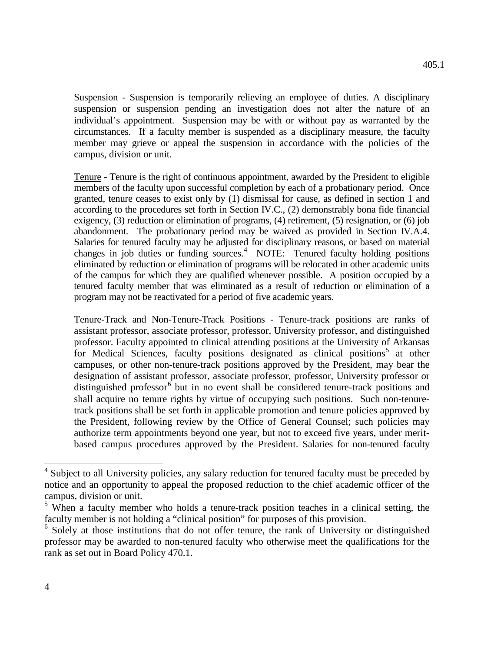Suspension - Suspension is temporarily relieving an employee of duties. A disciplinary suspension or suspension pending an investigation does not alter the nature of an individual's appointment. Suspension may be with or without pay as warranted by the circumstances. If a faculty member is suspended as a disciplinary measure, the faculty member may grieve or appeal the suspension in accordance with the policies of the campus, division or unit.

Tenure - Tenure is the right of continuous appointment, awarded by the President to eligible members of the faculty upon successful completion by each of a probationary period. Once granted, tenure ceases to exist only by (1) dismissal for cause, as defined in section 1 and according to the procedures set forth in Section IV.C., (2) demonstrably bona fide financial exigency, (3) reduction or elimination of programs, (4) retirement, (5) resignation, or (6) job abandonment. The probationary period may be waived as provided in Section IV.A.4. Salaries for tenured faculty may be adjusted for disciplinary reasons, or based on material changes in job duties or funding sources.<sup>[4](#page-3-0)</sup> NOTE: Tenured faculty holding positions eliminated by reduction or elimination of programs will be relocated in other academic units of the campus for which they are qualified whenever possible. A position occupied by a tenured faculty member that was eliminated as a result of reduction or elimination of a program may not be reactivated for a period of five academic years.

Tenure-Track and Non-Tenure-Track Positions - Tenure-track positions are ranks of assistant professor, associate professor, professor, University professor, and distinguished professor. Faculty appointed to clinical attending positions at the University of Arkansas for Medical Sciences, faculty positions designated as clinical positions<sup>[5](#page-3-1)</sup> at other campuses, or other non-tenure-track positions approved by the President, may bear the designation of assistant professor, associate professor, professor, University professor or distinguished professor $6$  but in no event shall be considered tenure-track positions and shall acquire no tenure rights by virtue of occupying such positions. Such non-tenuretrack positions shall be set forth in applicable promotion and tenure policies approved by the President, following review by the Office of General Counsel; such policies may authorize term appointments beyond one year, but not to exceed five years, under meritbased campus procedures approved by the President. Salaries for non-tenured faculty

<span id="page-3-0"></span><sup>&</sup>lt;sup>4</sup> Subiect to all University policies, any salary reduction for tenured faculty must be preceded by notice and an opportunity to appeal the proposed reduction to the chief academic officer of the campus, division or unit.

<span id="page-3-1"></span><sup>&</sup>lt;sup>5</sup> When a faculty member who holds a tenure-track position teaches in a clinical setting, the faculty member is not holding a "clinical position" for purposes of this provision.

<span id="page-3-2"></span> $6$  Solely at those institutions that do not offer tenure, the rank of University or distinguished professor may be awarded to non-tenured faculty who otherwise meet the qualifications for the rank as set out in Board Policy 470.1.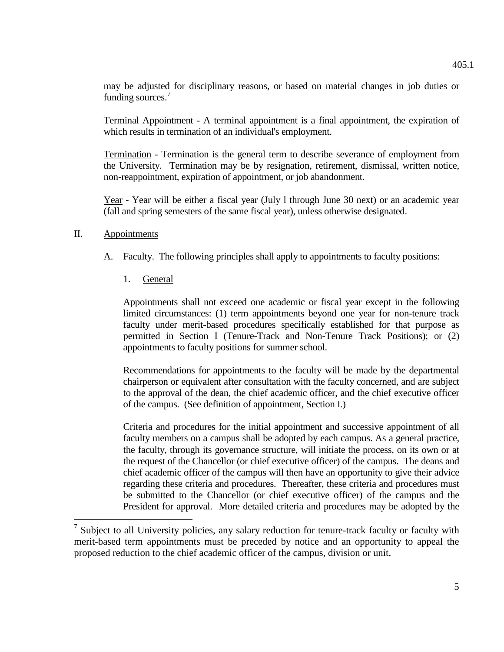may be adjusted for disciplinary reasons, or based on material changes in job duties or

Terminal Appointment - A terminal appointment is a final appointment, the expiration of which results in termination of an individual's employment.

Termination - Termination is the general term to describe severance of employment from the University. Termination may be by resignation, retirement, dismissal, written notice, non-reappointment, expiration of appointment, or job abandonment.

Year - Year will be either a fiscal year (July l through June 30 next) or an academic year (fall and spring semesters of the same fiscal year), unless otherwise designated.

#### II. Appointments

- A. Faculty. The following principles shall apply to appointments to faculty positions:
	- 1. General

funding sources.<sup>[7](#page-4-0)</sup>

Appointments shall not exceed one academic or fiscal year except in the following limited circumstances: (1) term appointments beyond one year for non-tenure track faculty under merit-based procedures specifically established for that purpose as permitted in Section I (Tenure-Track and Non-Tenure Track Positions); or (2) appointments to faculty positions for summer school.

Recommendations for appointments to the faculty will be made by the departmental chairperson or equivalent after consultation with the faculty concerned, and are subject to the approval of the dean, the chief academic officer, and the chief executive officer of the campus. (See definition of appointment, Section I.)

Criteria and procedures for the initial appointment and successive appointment of all faculty members on a campus shall be adopted by each campus. As a general practice, the faculty, through its governance structure, will initiate the process, on its own or at the request of the Chancellor (or chief executive officer) of the campus. The deans and chief academic officer of the campus will then have an opportunity to give their advice regarding these criteria and procedures. Thereafter, these criteria and procedures must be submitted to the Chancellor (or chief executive officer) of the campus and the President for approval. More detailed criteria and procedures may be adopted by the

<span id="page-4-0"></span> $<sup>7</sup>$  Subiect to all University policies, any salary reduction for tenure-track faculty or faculty with</sup> merit-based term appointments must be preceded by notice and an opportunity to appeal the proposed reduction to the chief academic officer of the campus, division or unit.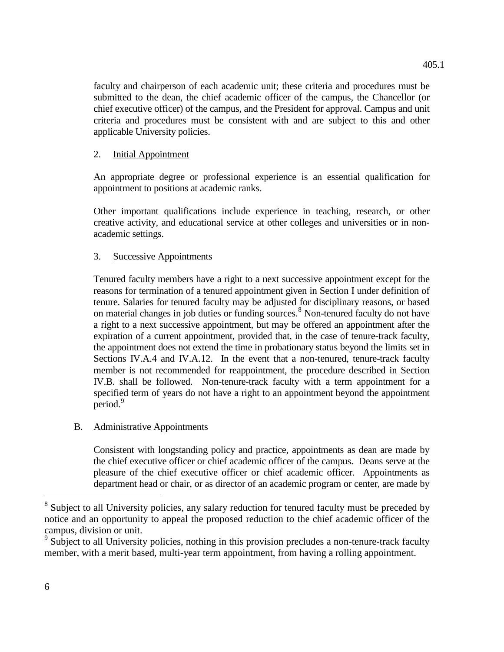faculty and chairperson of each academic unit; these criteria and procedures must be submitted to the dean, the chief academic officer of the campus, the Chancellor (or chief executive officer) of the campus, and the President for approval. Campus and unit criteria and procedures must be consistent with and are subject to this and other applicable University policies.

## 2. Initial Appointment

An appropriate degree or professional experience is an essential qualification for appointment to positions at academic ranks.

Other important qualifications include experience in teaching, research, or other creative activity, and educational service at other colleges and universities or in nonacademic settings.

## 3. Successive Appointments

Tenured faculty members have a right to a next successive appointment except for the reasons for termination of a tenured appointment given in Section I under definition of tenure. Salaries for tenured faculty may be adjusted for disciplinary reasons, or based on material changes in job duties or funding sources.<sup>[8](#page-5-0)</sup> Non-tenured faculty do not have a right to a next successive appointment, but may be offered an appointment after the expiration of a current appointment, provided that, in the case of tenure-track faculty, the appointment does not extend the time in probationary status beyond the limits set in Sections IV.A.4 and IV.A.12. In the event that a non-tenured, tenure-track faculty member is not recommended for reappointment, the procedure described in Section IV.B. shall be followed. Non-tenure-track faculty with a term appointment for a specified term of years do not have a right to an appointment beyond the appointment period. [9](#page-5-1)

## B. Administrative Appointments

Consistent with longstanding policy and practice, appointments as dean are made by the chief executive officer or chief academic officer of the campus. Deans serve at the pleasure of the chief executive officer or chief academic officer. Appointments as department head or chair, or as director of an academic program or center, are made by

<span id="page-5-0"></span><sup>&</sup>lt;sup>8</sup> Subject to all University policies, any salary reduction for tenured faculty must be preceded by notice and an opportunity to appeal the proposed reduction to the chief academic officer of the campus, division or unit.

<span id="page-5-1"></span><sup>&</sup>lt;sup>9</sup> Subject to all University policies, nothing in this provision precludes a non-tenure-track faculty member, with a merit based, multi-year term appointment, from having a rolling appointment.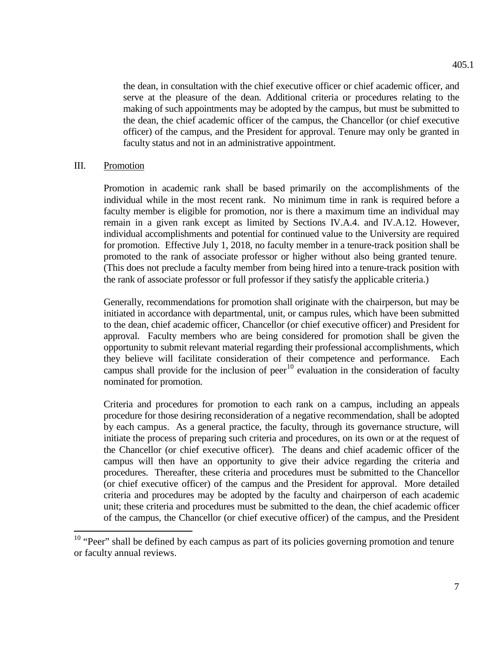the dean, in consultation with the chief executive officer or chief academic officer, and serve at the pleasure of the dean. Additional criteria or procedures relating to the making of such appointments may be adopted by the campus, but must be submitted to the dean, the chief academic officer of the campus, the Chancellor (or chief executive officer) of the campus, and the President for approval. Tenure may only be granted in faculty status and not in an administrative appointment.

#### III. Promotion

Promotion in academic rank shall be based primarily on the accomplishments of the individual while in the most recent rank. No minimum time in rank is required before a faculty member is eligible for promotion, nor is there a maximum time an individual may remain in a given rank except as limited by Sections IV.A.4. and IV.A.12. However, individual accomplishments and potential for continued value to the University are required for promotion. Effective July 1, 2018, no faculty member in a tenure-track position shall be promoted to the rank of associate professor or higher without also being granted tenure. (This does not preclude a faculty member from being hired into a tenure-track position with the rank of associate professor or full professor if they satisfy the applicable criteria.)

Generally, recommendations for promotion shall originate with the chairperson, but may be initiated in accordance with departmental, unit, or campus rules, which have been submitted to the dean, chief academic officer, Chancellor (or chief executive officer) and President for approval. Faculty members who are being considered for promotion shall be given the opportunity to submit relevant material regarding their professional accomplishments, which they believe will facilitate consideration of their competence and performance. Each campus shall provide for the inclusion of peer<sup>[10](#page-6-0)</sup> evaluation in the consideration of faculty nominated for promotion.

Criteria and procedures for promotion to each rank on a campus, including an appeals procedure for those desiring reconsideration of a negative recommendation, shall be adopted by each campus. As a general practice, the faculty, through its governance structure, will initiate the process of preparing such criteria and procedures, on its own or at the request of the Chancellor (or chief executive officer). The deans and chief academic officer of the campus will then have an opportunity to give their advice regarding the criteria and procedures. Thereafter, these criteria and procedures must be submitted to the Chancellor (or chief executive officer) of the campus and the President for approval. More detailed criteria and procedures may be adopted by the faculty and chairperson of each academic unit; these criteria and procedures must be submitted to the dean, the chief academic officer of the campus, the Chancellor (or chief executive officer) of the campus, and the President

<span id="page-6-0"></span><sup>&</sup>lt;sup>10</sup> "Peer" shall be defined by each campus as part of its policies governing promotion and tenure or faculty annual reviews.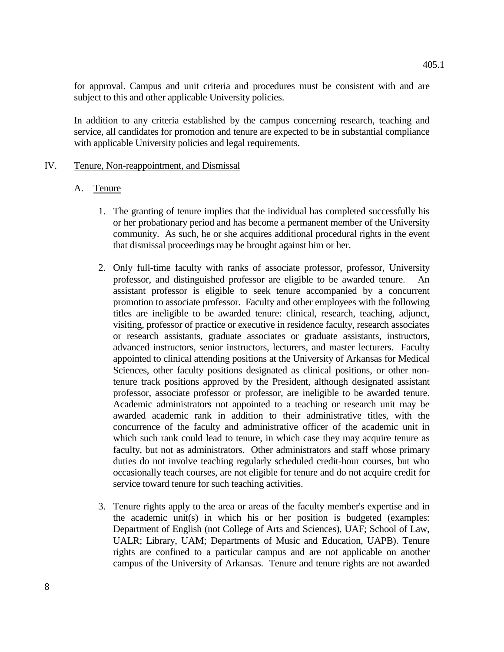for approval. Campus and unit criteria and procedures must be consistent with and are subject to this and other applicable University policies.

In addition to any criteria established by the campus concerning research, teaching and service, all candidates for promotion and tenure are expected to be in substantial compliance with applicable University policies and legal requirements.

### IV. Tenure, Non-reappointment, and Dismissal

## A. Tenure

- 1. The granting of tenure implies that the individual has completed successfully his or her probationary period and has become a permanent member of the University community. As such, he or she acquires additional procedural rights in the event that dismissal proceedings may be brought against him or her.
- 2. Only full-time faculty with ranks of associate professor, professor, University professor, and distinguished professor are eligible to be awarded tenure. An assistant professor is eligible to seek tenure accompanied by a concurrent promotion to associate professor. Faculty and other employees with the following titles are ineligible to be awarded tenure: clinical, research, teaching, adjunct, visiting, professor of practice or executive in residence faculty, research associates or research assistants, graduate associates or graduate assistants, instructors, advanced instructors, senior instructors, lecturers, and master lecturers. Faculty appointed to clinical attending positions at the University of Arkansas for Medical Sciences, other faculty positions designated as clinical positions, or other nontenure track positions approved by the President, although designated assistant professor, associate professor or professor, are ineligible to be awarded tenure. Academic administrators not appointed to a teaching or research unit may be awarded academic rank in addition to their administrative titles, with the concurrence of the faculty and administrative officer of the academic unit in which such rank could lead to tenure, in which case they may acquire tenure as faculty, but not as administrators. Other administrators and staff whose primary duties do not involve teaching regularly scheduled credit-hour courses, but who occasionally teach courses, are not eligible for tenure and do not acquire credit for service toward tenure for such teaching activities.
- 3. Tenure rights apply to the area or areas of the faculty member's expertise and in the academic unit(s) in which his or her position is budgeted (examples: Department of English (not College of Arts and Sciences), UAF; School of Law, UALR; Library, UAM; Departments of Music and Education, UAPB). Tenure rights are confined to a particular campus and are not applicable on another campus of the University of Arkansas. Tenure and tenure rights are not awarded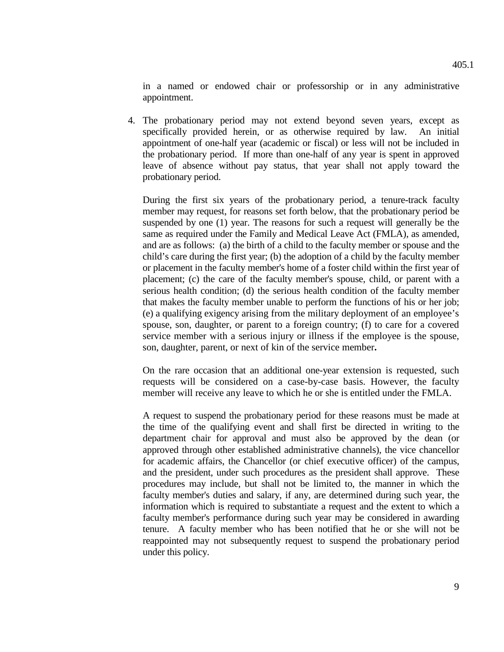in a named or endowed chair or professorship or in any administrative appointment.

 4. The probationary period may not extend beyond seven years, except as specifically provided herein, or as otherwise required by law. An initial appointment of one-half year (academic or fiscal) or less will not be included in the probationary period. If more than one-half of any year is spent in approved leave of absence without pay status, that year shall not apply toward the probationary period.

During the first six years of the probationary period, a tenure-track faculty member may request, for reasons set forth below, that the probationary period be suspended by one (1) year. The reasons for such a request will generally be the same as required under the Family and Medical Leave Act (FMLA), as amended, and are as follows: (a) the birth of a child to the faculty member or spouse and the child's care during the first year; (b) the adoption of a child by the faculty member or placement in the faculty member's home of a foster child within the first year of placement; (c) the care of the faculty member's spouse, child, or parent with a serious health condition; (d) the serious health condition of the faculty member that makes the faculty member unable to perform the functions of his or her job; (e) a qualifying exigency arising from the military deployment of an employee's spouse, son, daughter, or parent to a foreign country; (f) to care for a covered service member with a serious injury or illness if the employee is the spouse, son, daughter, parent, or next of kin of the service member**.**

On the rare occasion that an additional one-year extension is requested, such requests will be considered on a case-by-case basis. However, the faculty member will receive any leave to which he or she is entitled under the FMLA.

A request to suspend the probationary period for these reasons must be made at the time of the qualifying event and shall first be directed in writing to the department chair for approval and must also be approved by the dean (or approved through other established administrative channels), the vice chancellor for academic affairs, the Chancellor (or chief executive officer) of the campus, and the president, under such procedures as the president shall approve. These procedures may include, but shall not be limited to, the manner in which the faculty member's duties and salary, if any, are determined during such year, the information which is required to substantiate a request and the extent to which a faculty member's performance during such year may be considered in awarding tenure. A faculty member who has been notified that he or she will not be reappointed may not subsequently request to suspend the probationary period under this policy.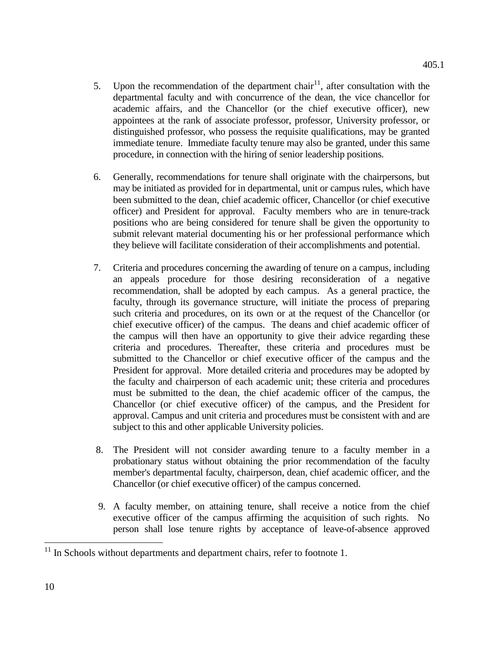- 5. Upon the recommendation of the department chair<sup>11</sup>, after consultation with the departmental faculty and with concurrence of the dean, the vice chancellor for academic affairs, and the Chancellor (or the chief executive officer), new appointees at the rank of associate professor, professor, University professor, or distinguished professor, who possess the requisite qualifications, may be granted immediate tenure. Immediate faculty tenure may also be granted, under this same procedure, in connection with the hiring of senior leadership positions.
- 6. Generally, recommendations for tenure shall originate with the chairpersons, but may be initiated as provided for in departmental, unit or campus rules, which have been submitted to the dean, chief academic officer, Chancellor (or chief executive officer) and President for approval. Faculty members who are in tenure-track positions who are being considered for tenure shall be given the opportunity to submit relevant material documenting his or her professional performance which they believe will facilitate consideration of their accomplishments and potential.
- 7. Criteria and procedures concerning the awarding of tenure on a campus, including an appeals procedure for those desiring reconsideration of a negative recommendation, shall be adopted by each campus. As a general practice, the faculty, through its governance structure, will initiate the process of preparing such criteria and procedures, on its own or at the request of the Chancellor (or chief executive officer) of the campus. The deans and chief academic officer of the campus will then have an opportunity to give their advice regarding these criteria and procedures. Thereafter, these criteria and procedures must be submitted to the Chancellor or chief executive officer of the campus and the President for approval. More detailed criteria and procedures may be adopted by the faculty and chairperson of each academic unit; these criteria and procedures must be submitted to the dean, the chief academic officer of the campus, the Chancellor (or chief executive officer) of the campus, and the President for approval. Campus and unit criteria and procedures must be consistent with and are subject to this and other applicable University policies.
- 8. The President will not consider awarding tenure to a faculty member in a probationary status without obtaining the prior recommendation of the faculty member's departmental faculty, chairperson, dean, chief academic officer, and the Chancellor (or chief executive officer) of the campus concerned.
- 9. A faculty member, on attaining tenure, shall receive a notice from the chief executive officer of the campus affirming the acquisition of such rights. No person shall lose tenure rights by acceptance of leave-of-absence approved

<span id="page-9-0"></span> $11$  In Schools without departments and department chairs, refer to footnote 1.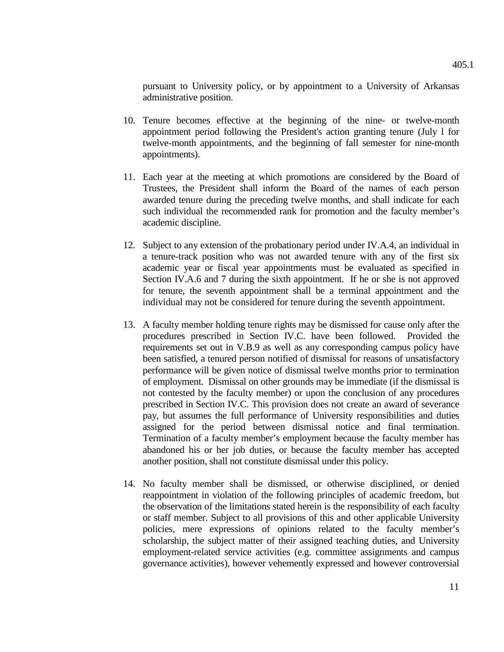pursuant to University policy, or by appointment to a University of Arkansas administrative position.

- 10. Tenure becomes effective at the beginning of the nine- or twelve-month appointment period following the President's action granting tenure (July l for twelve-month appointments, and the beginning of fall semester for nine-month appointments).
- 11. Each year at the meeting at which promotions are considered by the Board of Trustees, the President shall inform the Board of the names of each person awarded tenure during the preceding twelve months, and shall indicate for each such individual the recommended rank for promotion and the faculty member's academic discipline.
- 12. Subject to any extension of the probationary period under IV.A.4, an individual in a tenure-track position who was not awarded tenure with any of the first six academic year or fiscal year appointments must be evaluated as specified in Section IV.A.6 and 7 during the sixth appointment. If he or she is not approved for tenure, the seventh appointment shall be a terminal appointment and the individual may not be considered for tenure during the seventh appointment.
- 13. A faculty member holding tenure rights may be dismissed for cause only after the procedures prescribed in Section IV.C. have been followed. Provided the requirements set out in V.B.9 as well as any corresponding campus policy have been satisfied, a tenured person notified of dismissal for reasons of unsatisfactory performance will be given notice of dismissal twelve months prior to termination of employment. Dismissal on other grounds may be immediate (if the dismissal is not contested by the faculty member) or upon the conclusion of any procedures prescribed in Section IV.C. This provision does not create an award of severance pay, but assumes the full performance of University responsibilities and duties assigned for the period between dismissal notice and final termination. Termination of a faculty member's employment because the faculty member has abandoned his or her job duties, or because the faculty member has accepted another position, shall not constitute dismissal under this policy.
- 14. No faculty member shall be dismissed, or otherwise disciplined, or denied reappointment in violation of the following principles of academic freedom, but the observation of the limitations stated herein is the responsibility of each faculty or staff member. Subject to all provisions of this and other applicable University policies, mere expressions of opinions related to the faculty member's scholarship, the subject matter of their assigned teaching duties, and University employment-related service activities (e.g. committee assignments and campus governance activities), however vehemently expressed and however controversial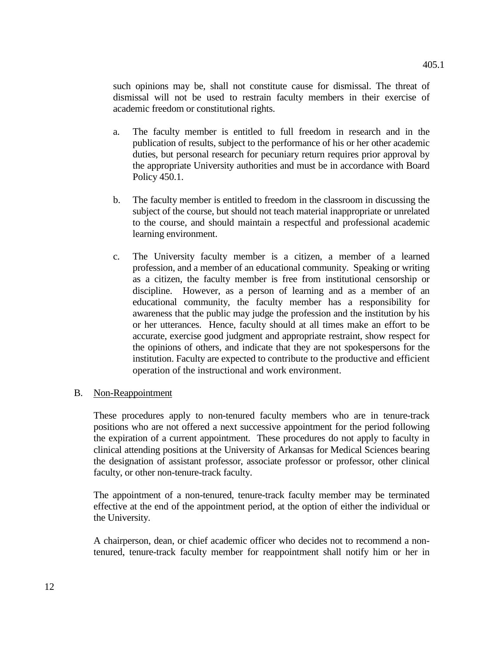such opinions may be, shall not constitute cause for dismissal. The threat of dismissal will not be used to restrain faculty members in their exercise of academic freedom or constitutional rights.

- a. The faculty member is entitled to full freedom in research and in the publication of results, subject to the performance of his or her other academic duties, but personal research for pecuniary return requires prior approval by the appropriate University authorities and must be in accordance with Board Policy 450.1.
- b. The faculty member is entitled to freedom in the classroom in discussing the subject of the course, but should not teach material inappropriate or unrelated to the course, and should maintain a respectful and professional academic learning environment.
- c. The University faculty member is a citizen, a member of a learned profession, and a member of an educational community. Speaking or writing as a citizen, the faculty member is free from institutional censorship or discipline. However, as a person of learning and as a member of an educational community, the faculty member has a responsibility for awareness that the public may judge the profession and the institution by his or her utterances. Hence, faculty should at all times make an effort to be accurate, exercise good judgment and appropriate restraint, show respect for the opinions of others, and indicate that they are not spokespersons for the institution. Faculty are expected to contribute to the productive and efficient operation of the instructional and work environment.

### B. Non-Reappointment

These procedures apply to non-tenured faculty members who are in tenure-track positions who are not offered a next successive appointment for the period following the expiration of a current appointment. These procedures do not apply to faculty in clinical attending positions at the University of Arkansas for Medical Sciences bearing the designation of assistant professor, associate professor or professor, other clinical faculty, or other non-tenure-track faculty.

The appointment of a non-tenured, tenure-track faculty member may be terminated effective at the end of the appointment period, at the option of either the individual or the University.

A chairperson, dean, or chief academic officer who decides not to recommend a nontenured, tenure-track faculty member for reappointment shall notify him or her in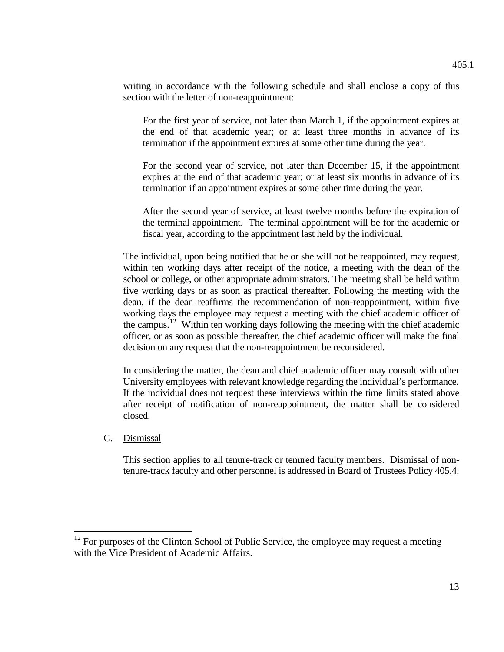writing in accordance with the following schedule and shall enclose a copy of this section with the letter of non-reappointment:

For the first year of service, not later than March 1, if the appointment expires at the end of that academic year; or at least three months in advance of its termination if the appointment expires at some other time during the year.

For the second year of service, not later than December 15, if the appointment expires at the end of that academic year; or at least six months in advance of its termination if an appointment expires at some other time during the year.

After the second year of service, at least twelve months before the expiration of the terminal appointment. The terminal appointment will be for the academic or fiscal year, according to the appointment last held by the individual.

The individual, upon being notified that he or she will not be reappointed, may request, within ten working days after receipt of the notice, a meeting with the dean of the school or college, or other appropriate administrators. The meeting shall be held within five working days or as soon as practical thereafter. Following the meeting with the dean, if the dean reaffirms the recommendation of non-reappointment, within five working days the employee may request a meeting with the chief academic officer of the campus.<sup>[12](#page-12-0)</sup> Within ten working days following the meeting with the chief academic officer, or as soon as possible thereafter, the chief academic officer will make the final decision on any request that the non-reappointment be reconsidered.

In considering the matter, the dean and chief academic officer may consult with other University employees with relevant knowledge regarding the individual's performance. If the individual does not request these interviews within the time limits stated above after receipt of notification of non-reappointment, the matter shall be considered closed.

### C. Dismissal

This section applies to all tenure-track or tenured faculty members. Dismissal of nontenure-track faculty and other personnel is addressed in Board of Trustees Policy 405.4.

<span id="page-12-0"></span><sup>&</sup>lt;sup>12</sup> For purposes of the Clinton School of Public Service, the employee may request a meeting with the Vice President of Academic Affairs.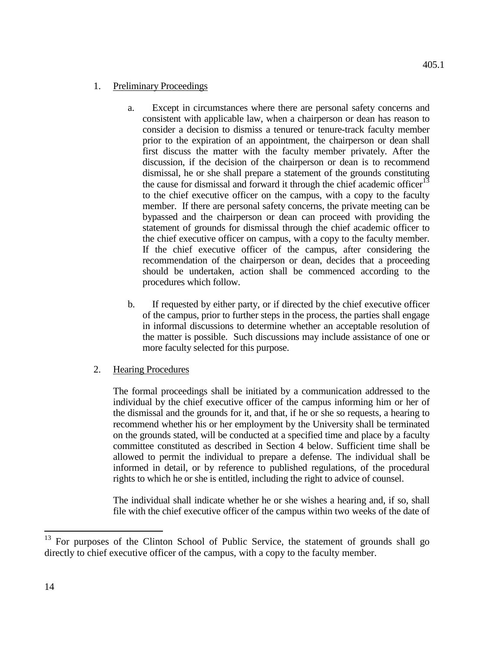- a. Except in circumstances where there are personal safety concerns and consistent with applicable law, when a chairperson or dean has reason to consider a decision to dismiss a tenured or tenure-track faculty member prior to the expiration of an appointment, the chairperson or dean shall first discuss the matter with the faculty member privately. After the discussion, if the decision of the chairperson or dean is to recommend dismissal, he or she shall prepare a statement of the grounds constituting the cause for dismissal and forward it through the chief academic officer<sup>[13](#page-13-0)</sup> to the chief executive officer on the campus, with a copy to the faculty member. If there are personal safety concerns, the private meeting can be bypassed and the chairperson or dean can proceed with providing the statement of grounds for dismissal through the chief academic officer to the chief executive officer on campus, with a copy to the faculty member. If the chief executive officer of the campus, after considering the recommendation of the chairperson or dean, decides that a proceeding should be undertaken, action shall be commenced according to the procedures which follow.
- b. If requested by either party, or if directed by the chief executive officer of the campus, prior to further steps in the process, the parties shall engage in informal discussions to determine whether an acceptable resolution of the matter is possible. Such discussions may include assistance of one or more faculty selected for this purpose.
- 2. Hearing Procedures

The formal proceedings shall be initiated by a communication addressed to the individual by the chief executive officer of the campus informing him or her of the dismissal and the grounds for it, and that, if he or she so requests, a hearing to recommend whether his or her employment by the University shall be terminated on the grounds stated, will be conducted at a specified time and place by a faculty committee constituted as described in Section 4 below. Sufficient time shall be allowed to permit the individual to prepare a defense. The individual shall be informed in detail, or by reference to published regulations, of the procedural rights to which he or she is entitled, including the right to advice of counsel.

The individual shall indicate whether he or she wishes a hearing and, if so, shall file with the chief executive officer of the campus within two weeks of the date of

<span id="page-13-0"></span><sup>&</sup>lt;sup>13</sup> For purposes of the Clinton School of Public Service, the statement of grounds shall go directly to chief executive officer of the campus, with a copy to the faculty member.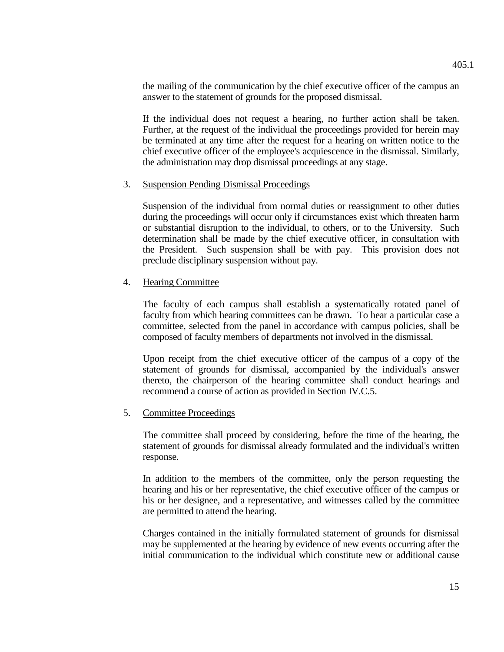the mailing of the communication by the chief executive officer of the campus an answer to the statement of grounds for the proposed dismissal.

If the individual does not request a hearing, no further action shall be taken. Further, at the request of the individual the proceedings provided for herein may be terminated at any time after the request for a hearing on written notice to the chief executive officer of the employee's acquiescence in the dismissal. Similarly, the administration may drop dismissal proceedings at any stage.

### 3. Suspension Pending Dismissal Proceedings

Suspension of the individual from normal duties or reassignment to other duties during the proceedings will occur only if circumstances exist which threaten harm or substantial disruption to the individual, to others, or to the University. Such determination shall be made by the chief executive officer, in consultation with the President. Such suspension shall be with pay. This provision does not preclude disciplinary suspension without pay.

#### 4. Hearing Committee

The faculty of each campus shall establish a systematically rotated panel of faculty from which hearing committees can be drawn. To hear a particular case a committee, selected from the panel in accordance with campus policies, shall be composed of faculty members of departments not involved in the dismissal.

Upon receipt from the chief executive officer of the campus of a copy of the statement of grounds for dismissal, accompanied by the individual's answer thereto, the chairperson of the hearing committee shall conduct hearings and recommend a course of action as provided in Section IV.C.5.

#### 5. Committee Proceedings

The committee shall proceed by considering, before the time of the hearing, the statement of grounds for dismissal already formulated and the individual's written response.

In addition to the members of the committee, only the person requesting the hearing and his or her representative, the chief executive officer of the campus or his or her designee, and a representative, and witnesses called by the committee are permitted to attend the hearing.

Charges contained in the initially formulated statement of grounds for dismissal may be supplemented at the hearing by evidence of new events occurring after the initial communication to the individual which constitute new or additional cause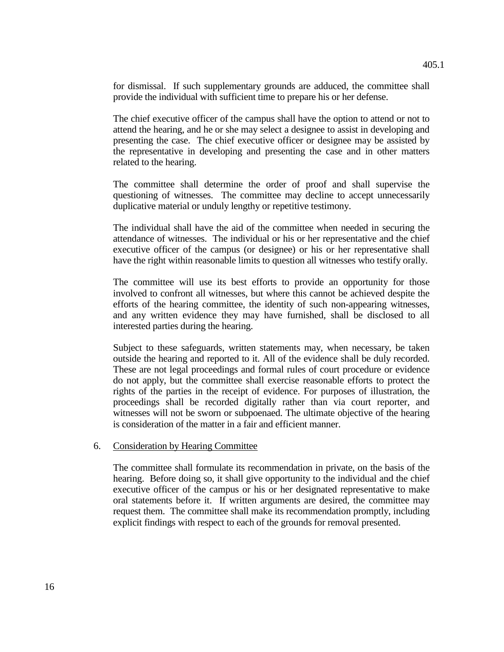for dismissal. If such supplementary grounds are adduced, the committee shall provide the individual with sufficient time to prepare his or her defense.

The chief executive officer of the campus shall have the option to attend or not to attend the hearing, and he or she may select a designee to assist in developing and presenting the case. The chief executive officer or designee may be assisted by the representative in developing and presenting the case and in other matters related to the hearing.

The committee shall determine the order of proof and shall supervise the questioning of witnesses. The committee may decline to accept unnecessarily duplicative material or unduly lengthy or repetitive testimony.

The individual shall have the aid of the committee when needed in securing the attendance of witnesses. The individual or his or her representative and the chief executive officer of the campus (or designee) or his or her representative shall have the right within reasonable limits to question all witnesses who testify orally.

The committee will use its best efforts to provide an opportunity for those involved to confront all witnesses, but where this cannot be achieved despite the efforts of the hearing committee, the identity of such non-appearing witnesses, and any written evidence they may have furnished, shall be disclosed to all interested parties during the hearing.

Subject to these safeguards, written statements may, when necessary, be taken outside the hearing and reported to it. All of the evidence shall be duly recorded. These are not legal proceedings and formal rules of court procedure or evidence do not apply, but the committee shall exercise reasonable efforts to protect the rights of the parties in the receipt of evidence. For purposes of illustration, the proceedings shall be recorded digitally rather than via court reporter, and witnesses will not be sworn or subpoenaed. The ultimate objective of the hearing is consideration of the matter in a fair and efficient manner.

#### 6. Consideration by Hearing Committee

The committee shall formulate its recommendation in private, on the basis of the hearing. Before doing so, it shall give opportunity to the individual and the chief executive officer of the campus or his or her designated representative to make oral statements before it. If written arguments are desired, the committee may request them. The committee shall make its recommendation promptly, including explicit findings with respect to each of the grounds for removal presented.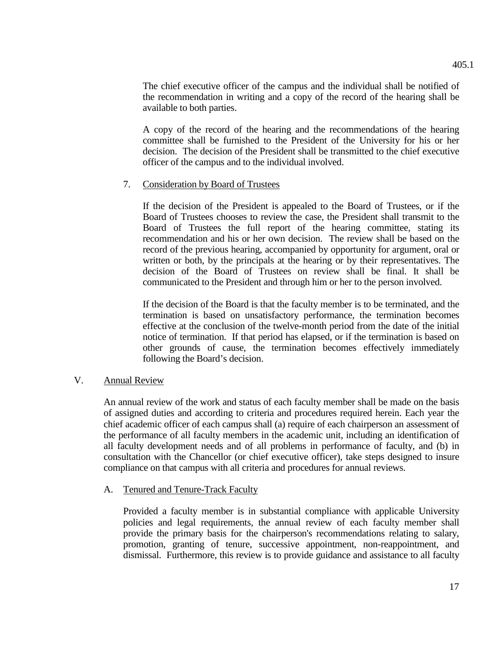The chief executive officer of the campus and the individual shall be notified of the recommendation in writing and a copy of the record of the hearing shall be available to both parties.

A copy of the record of the hearing and the recommendations of the hearing committee shall be furnished to the President of the University for his or her decision. The decision of the President shall be transmitted to the chief executive officer of the campus and to the individual involved.

### 7. Consideration by Board of Trustees

If the decision of the President is appealed to the Board of Trustees, or if the Board of Trustees chooses to review the case, the President shall transmit to the Board of Trustees the full report of the hearing committee, stating its recommendation and his or her own decision. The review shall be based on the record of the previous hearing, accompanied by opportunity for argument, oral or written or both, by the principals at the hearing or by their representatives. The decision of the Board of Trustees on review shall be final. It shall be communicated to the President and through him or her to the person involved.

If the decision of the Board is that the faculty member is to be terminated, and the termination is based on unsatisfactory performance, the termination becomes effective at the conclusion of the twelve-month period from the date of the initial notice of termination. If that period has elapsed, or if the termination is based on other grounds of cause, the termination becomes effectively immediately following the Board's decision.

## V. Annual Review

An annual review of the work and status of each faculty member shall be made on the basis of assigned duties and according to criteria and procedures required herein. Each year the chief academic officer of each campus shall (a) require of each chairperson an assessment of the performance of all faculty members in the academic unit, including an identification of all faculty development needs and of all problems in performance of faculty, and (b) in consultation with the Chancellor (or chief executive officer), take steps designed to insure compliance on that campus with all criteria and procedures for annual reviews.

### A. Tenured and Tenure-Track Faculty

Provided a faculty member is in substantial compliance with applicable University policies and legal requirements, the annual review of each faculty member shall provide the primary basis for the chairperson's recommendations relating to salary, promotion, granting of tenure, successive appointment, non-reappointment, and dismissal. Furthermore, this review is to provide guidance and assistance to all faculty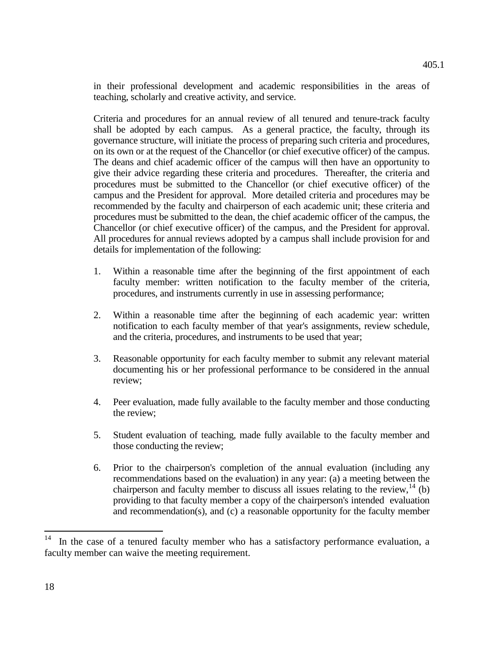in their professional development and academic responsibilities in the areas of teaching, scholarly and creative activity, and service.

Criteria and procedures for an annual review of all tenured and tenure-track faculty shall be adopted by each campus. As a general practice, the faculty, through its governance structure, will initiate the process of preparing such criteria and procedures, on its own or at the request of the Chancellor (or chief executive officer) of the campus. The deans and chief academic officer of the campus will then have an opportunity to give their advice regarding these criteria and procedures. Thereafter, the criteria and procedures must be submitted to the Chancellor (or chief executive officer) of the campus and the President for approval. More detailed criteria and procedures may be recommended by the faculty and chairperson of each academic unit; these criteria and procedures must be submitted to the dean, the chief academic officer of the campus, the Chancellor (or chief executive officer) of the campus, and the President for approval. All procedures for annual reviews adopted by a campus shall include provision for and details for implementation of the following:

- 1. Within a reasonable time after the beginning of the first appointment of each faculty member: written notification to the faculty member of the criteria, procedures, and instruments currently in use in assessing performance;
- 2. Within a reasonable time after the beginning of each academic year: written notification to each faculty member of that year's assignments, review schedule, and the criteria, procedures, and instruments to be used that year;
- 3. Reasonable opportunity for each faculty member to submit any relevant material documenting his or her professional performance to be considered in the annual review;
- 4. Peer evaluation, made fully available to the faculty member and those conducting the review;
- 5. Student evaluation of teaching, made fully available to the faculty member and those conducting the review;
- 6. Prior to the chairperson's completion of the annual evaluation (including any recommendations based on the evaluation) in any year: (a) a meeting between the chairperson and faculty member to discuss all issues relating to the review,  $^{14}$  $^{14}$  $^{14}$  (b) providing to that faculty member a copy of the chairperson's intended evaluation and recommendation(s), and (c) a reasonable opportunity for the faculty member

<span id="page-17-0"></span>In the case of a tenured faculty member who has a satisfactory performance evaluation, a faculty member can waive the meeting requirement.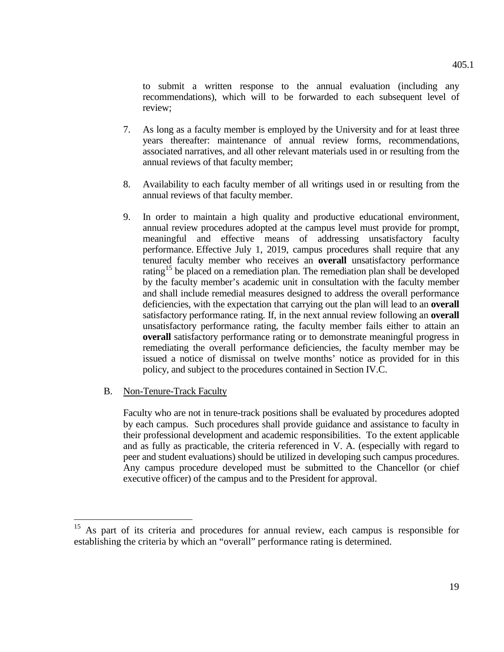to submit a written response to the annual evaluation (including any recommendations), which will to be forwarded to each subsequent level of review;

- 7. As long as a faculty member is employed by the University and for at least three years thereafter: maintenance of annual review forms, recommendations, associated narratives, and all other relevant materials used in or resulting from the annual reviews of that faculty member;
- 8. Availability to each faculty member of all writings used in or resulting from the annual reviews of that faculty member.
- 9. In order to maintain a high quality and productive educational environment, annual review procedures adopted at the campus level must provide for prompt, meaningful and effective means of addressing unsatisfactory faculty performance. Effective July 1, 2019, campus procedures shall require that any tenured faculty member who receives an **overall** unsatisfactory performance rating<sup>[15](#page-18-0)</sup> be placed on a remediation plan. The remediation plan shall be developed by the faculty member's academic unit in consultation with the faculty member and shall include remedial measures designed to address the overall performance deficiencies, with the expectation that carrying out the plan will lead to an **overall** satisfactory performance rating. If, in the next annual review following an **overall** unsatisfactory performance rating, the faculty member fails either to attain an **overall** satisfactory performance rating or to demonstrate meaningful progress in remediating the overall performance deficiencies, the faculty member may be issued a notice of dismissal on twelve months' notice as provided for in this policy, and subject to the procedures contained in Section IV.C.
- B. Non-Tenure-Track Faculty

Faculty who are not in tenure-track positions shall be evaluated by procedures adopted by each campus. Such procedures shall provide guidance and assistance to faculty in their professional development and academic responsibilities. To the extent applicable and as fully as practicable, the criteria referenced in V. A. (especially with regard to peer and student evaluations) should be utilized in developing such campus procedures. Any campus procedure developed must be submitted to the Chancellor (or chief executive officer) of the campus and to the President for approval.

<span id="page-18-0"></span><sup>&</sup>lt;sup>15</sup> As part of its criteria and procedures for annual review, each campus is responsible for establishing the criteria by which an "overall" performance rating is determined.